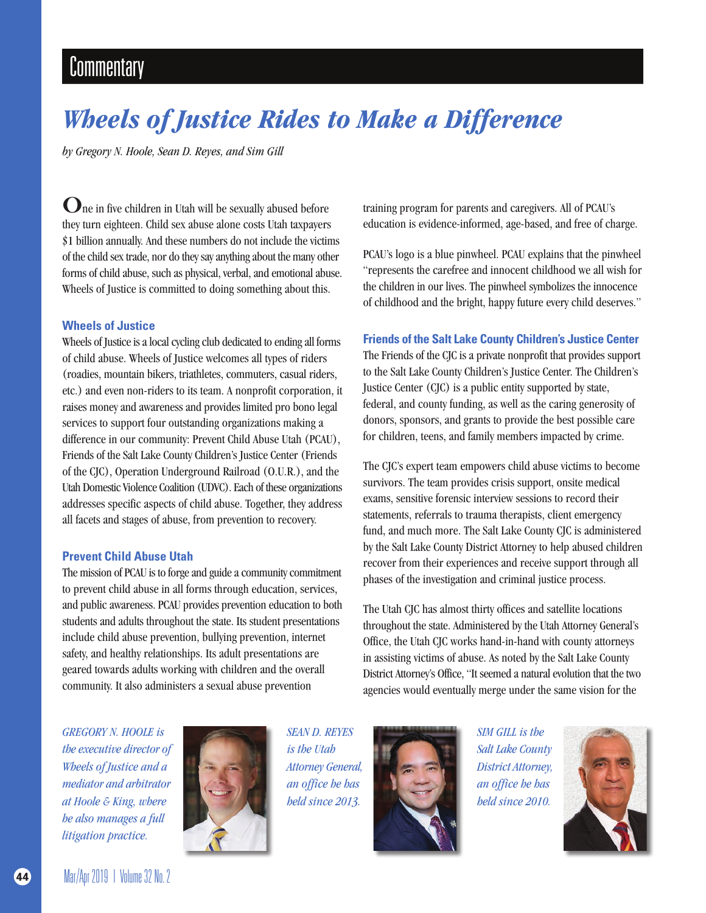## **Commentary**

# *Wheels of Justice Rides to Make a Difference*

*by Gregory N. Hoole, Sean D. Reyes, and Sim Gill* 

 $\mathbf{O}$ ne in five children in Utah will be sexually abused before they turn eighteen. Child sex abuse alone costs Utah taxpayers \$1 billion annually. And these numbers do not include the victims of the child sex trade, nor do they say anything about the many other forms of child abuse, such as physical, verbal, and emotional abuse. Wheels of Justice is committed to doing something about this.

#### **Wheels of Justice**

Wheels of Justice is a local cycling club dedicated to ending all forms of child abuse. Wheels of Justice welcomes all types of riders (roadies, mountain bikers, triathletes, commuters, casual riders, etc.) and even non-riders to its team. A nonprofit corporation, it raises money and awareness and provides limited pro bono legal services to support four outstanding organizations making a difference in our community: Prevent Child Abuse Utah (PCAU), Friends of the Salt Lake County Children's Justice Center (Friends of the CJC), Operation Underground Railroad (O.U.R.), and the Utah Domestic Violence Coalition (UDVC). Each of these organizations addresses specific aspects of child abuse. Together, they address all facets and stages of abuse, from prevention to recovery.

#### **Prevent Child Abuse Utah**

The mission of PCAU is to forge and guide a community commitment to prevent child abuse in all forms through education, services, and public awareness. PCAU provides prevention education to both students and adults throughout the state. Its student presentations include child abuse prevention, bullying prevention, internet safety, and healthy relationships. Its adult presentations are geared towards adults working with children and the overall community. It also administers a sexual abuse prevention

training program for parents and caregivers. All of PCAU's education is evidence-informed, age-based, and free of charge.

PCAU's logo is a blue pinwheel. PCAU explains that the pinwheel "represents the carefree and innocent childhood we all wish for the children in our lives. The pinwheel symbolizes the innocence of childhood and the bright, happy future every child deserves."

#### **Friends of the Salt Lake County Children's Justice Center**

The Friends of the CJC is a private nonprofit that provides support to the Salt Lake County Children's Justice Center. The Children's Justice Center (CJC) is a public entity supported by state, federal, and county funding, as well as the caring generosity of donors, sponsors, and grants to provide the best possible care for children, teens, and family members impacted by crime.

The CJC's expert team empowers child abuse victims to become survivors. The team provides crisis support, onsite medical exams, sensitive forensic interview sessions to record their statements, referrals to trauma therapists, client emergency fund, and much more. The Salt Lake County CJC is administered by the Salt Lake County District Attorney to help abused children recover from their experiences and receive support through all phases of the investigation and criminal justice process.

The Utah CJC has almost thirty offices and satellite locations throughout the state. Administered by the Utah Attorney General's Office, the Utah CJC works hand-in-hand with county attorneys in assisting victims of abuse. As noted by the Salt Lake County District Attorney's Office, "It seemed a natural evolution that the two agencies would eventually merge under the same vision for the

*GREGORY N. HOOLE is the executive director of Wheels of Justice and a mediator and arbitrator at Hoole & King, where he also manages a full litigation practice.*



*SEAN D. REYES is the Utah Attorney General, an office he has held since 2013.*



*SIM GILL is the Salt Lake County District Attorney, an office he has held since 2010.*

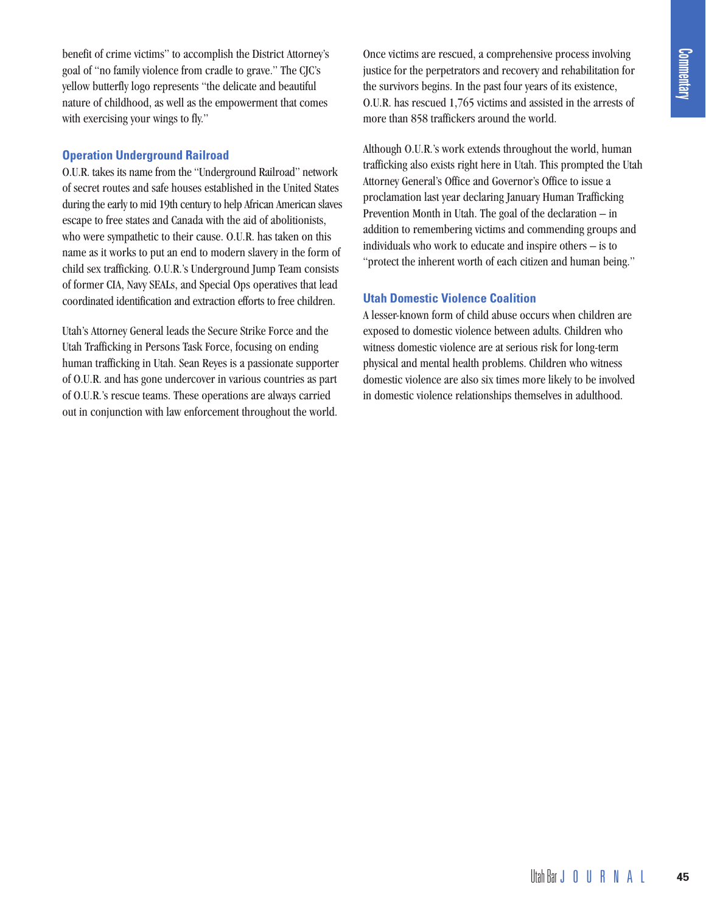benefit of crime victims" to accomplish the District Attorney's goal of "no family violence from cradle to grave." The CJC's yellow butterfly logo represents "the delicate and beautiful nature of childhood, as well as the empowerment that comes with exercising your wings to fly."

#### **Operation Underground Railroad**

O.U.R. takes its name from the "Underground Railroad" network of secret routes and safe houses established in the United States during the early to mid 19th century to help African American slaves escape to free states and Canada with the aid of abolitionists, who were sympathetic to their cause. O.U.R. has taken on this name as it works to put an end to modern slavery in the form of child sex trafficking. O.U.R.'s Underground Jump Team consists of former CIA, Navy SEALs, and Special Ops operatives that lead coordinated identification and extraction efforts to free children.

Utah's Attorney General leads the Secure Strike Force and the Utah Trafficking in Persons Task Force, focusing on ending human trafficking in Utah. Sean Reyes is a passionate supporter of O.U.R. and has gone undercover in various countries as part of O.U.R.'s rescue teams. These operations are always carried out in conjunction with law enforcement throughout the world.

Once victims are rescued, a comprehensive process involving justice for the perpetrators and recovery and rehabilitation for the survivors begins. In the past four years of its existence, O.U.R. has rescued 1,765 victims and assisted in the arrests of more than 858 traffickers around the world.

Although O.U.R.'s work extends throughout the world, human trafficking also exists right here in Utah. This prompted the Utah Attorney General's Office and Governor's Office to issue a proclamation last year declaring January Human Trafficking Prevention Month in Utah. The goal of the declaration – in addition to remembering victims and commending groups and individuals who work to educate and inspire others – is to "protect the inherent worth of each citizen and human being."

### **Utah Domestic Violence Coalition**

A lesser-known form of child abuse occurs when children are exposed to domestic violence between adults. Children who witness domestic violence are at serious risk for long-term physical and mental health problems. Children who witness domestic violence are also six times more likely to be involved in domestic violence relationships themselves in adulthood.